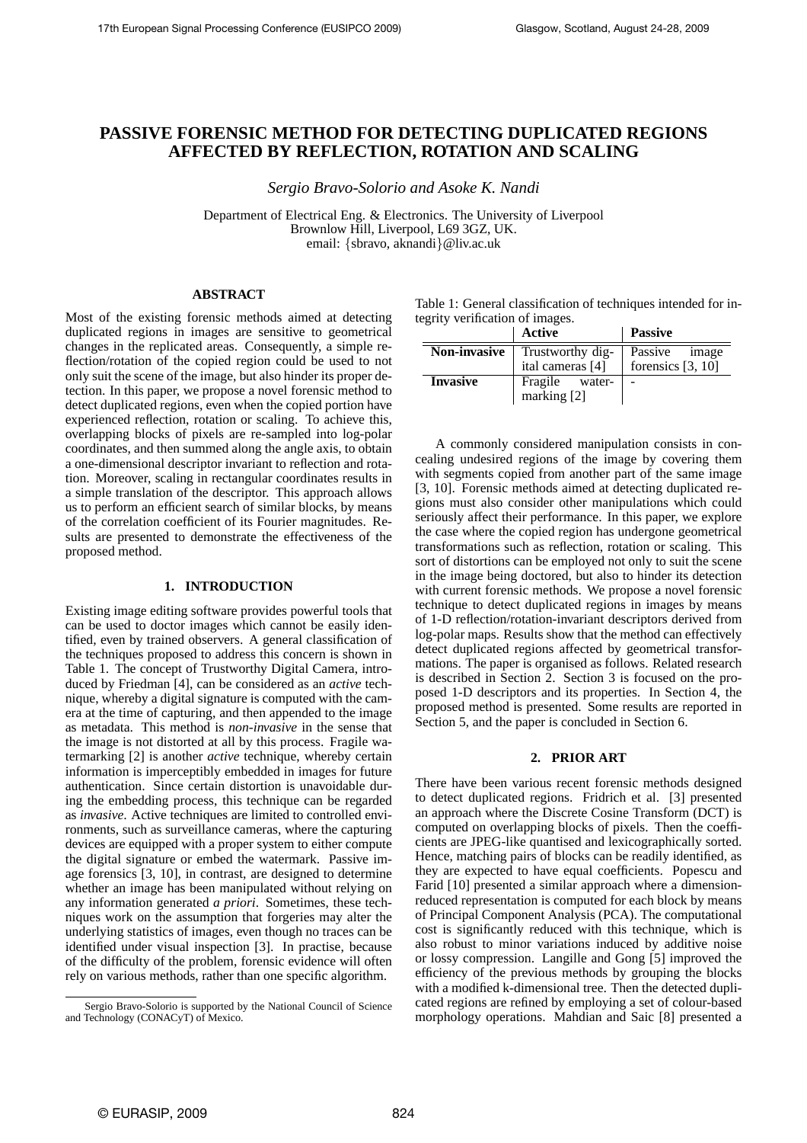# **PASSIVE FORENSIC METHOD FOR DETECTING DUPLICATED REGIONS AFFECTED BY REFLECTION, ROTATION AND SCALING**

*Sergio Bravo-Solorio and Asoke K. Nandi*

Department of Electrical Eng. & Electronics. The University of Liverpool Brownlow Hill, Liverpool, L69 3GZ, UK. email: {sbravo, aknandi}@liv.ac.uk

## **ABSTRACT**

Most of the existing forensic methods aimed at detecting duplicated regions in images are sensitive to geometrical changes in the replicated areas. Consequently, a simple reflection/rotation of the copied region could be used to not only suit the scene of the image, but also hinder its proper detection. In this paper, we propose a novel forensic method to detect duplicated regions, even when the copied portion have experienced reflection, rotation or scaling. To achieve this, overlapping blocks of pixels are re-sampled into log-polar coordinates, and then summed along the angle axis, to obtain a one-dimensional descriptor invariant to reflection and rotation. Moreover, scaling in rectangular coordinates results in a simple translation of the descriptor. This approach allows us to perform an efficient search of similar blocks, by means of the correlation coefficient of its Fourier magnitudes. Results are presented to demonstrate the effectiveness of the proposed method.

## **1. INTRODUCTION**

Existing image editing software provides powerful tools that can be used to doctor images which cannot be easily identified, even by trained observers. A general classification of the techniques proposed to address this concern is shown in Table 1. The concept of Trustworthy Digital Camera, introduced by Friedman [4], can be considered as an *active* technique, whereby a digital signature is computed with the camera at the time of capturing, and then appended to the image as metadata. This method is *non-invasive* in the sense that the image is not distorted at all by this process. Fragile watermarking [2] is another *active* technique, whereby certain information is imperceptibly embedded in images for future authentication. Since certain distortion is unavoidable during the embedding process, this technique can be regarded as *invasive*. Active techniques are limited to controlled environments, such as surveillance cameras, where the capturing devices are equipped with a proper system to either compute the digital signature or embed the watermark. Passive image forensics [3, 10], in contrast, are designed to determine whether an image has been manipulated without relying on any information generated *a priori*. Sometimes, these techniques work on the assumption that forgeries may alter the underlying statistics of images, even though no traces can be identified under visual inspection [3]. In practise, because of the difficulty of the problem, forensic evidence will often rely on various methods, rather than one specific algorithm.

| Table 1: General classification of techniques intended for in- |  |
|----------------------------------------------------------------|--|
| tegrity verification of images.                                |  |

|                     | <b>Active</b>                        | <b>Passive</b>                     |
|---------------------|--------------------------------------|------------------------------------|
| <b>Non-invasive</b> | Trustworthy dig-<br>ital cameras [4] | Passive image<br>forensics [3, 10] |
| <b>Invasive</b>     | Fragile water-<br>marking $[2]$      |                                    |

A commonly considered manipulation consists in concealing undesired regions of the image by covering them with segments copied from another part of the same image [3, 10]. Forensic methods aimed at detecting duplicated regions must also consider other manipulations which could seriously affect their performance. In this paper, we explore the case where the copied region has undergone geometrical transformations such as reflection, rotation or scaling. This sort of distortions can be employed not only to suit the scene in the image being doctored, but also to hinder its detection with current forensic methods. We propose a novel forensic technique to detect duplicated regions in images by means of 1-D reflection/rotation-invariant descriptors derived from log-polar maps. Results show that the method can effectively detect duplicated regions affected by geometrical transformations. The paper is organised as follows. Related research is described in Section 2. Section 3 is focused on the proposed 1-D descriptors and its properties. In Section 4, the proposed method is presented. Some results are reported in Section 5, and the paper is concluded in Section 6.

## **2. PRIOR ART**

There have been various recent forensic methods designed to detect duplicated regions. Fridrich et al. [3] presented an approach where the Discrete Cosine Transform (DCT) is computed on overlapping blocks of pixels. Then the coefficients are JPEG-like quantised and lexicographically sorted. Hence, matching pairs of blocks can be readily identified, as they are expected to have equal coefficients. Popescu and Farid [10] presented a similar approach where a dimensionreduced representation is computed for each block by means of Principal Component Analysis (PCA). The computational cost is significantly reduced with this technique, which is also robust to minor variations induced by additive noise or lossy compression. Langille and Gong [5] improved the efficiency of the previous methods by grouping the blocks with a modified k-dimensional tree. Then the detected duplicated regions are refined by employing a set of colour-based morphology operations. Mahdian and Saic [8] presented a

Sergio Bravo-Solorio is supported by the National Council of Science and Technology (CONACyT) of Mexico.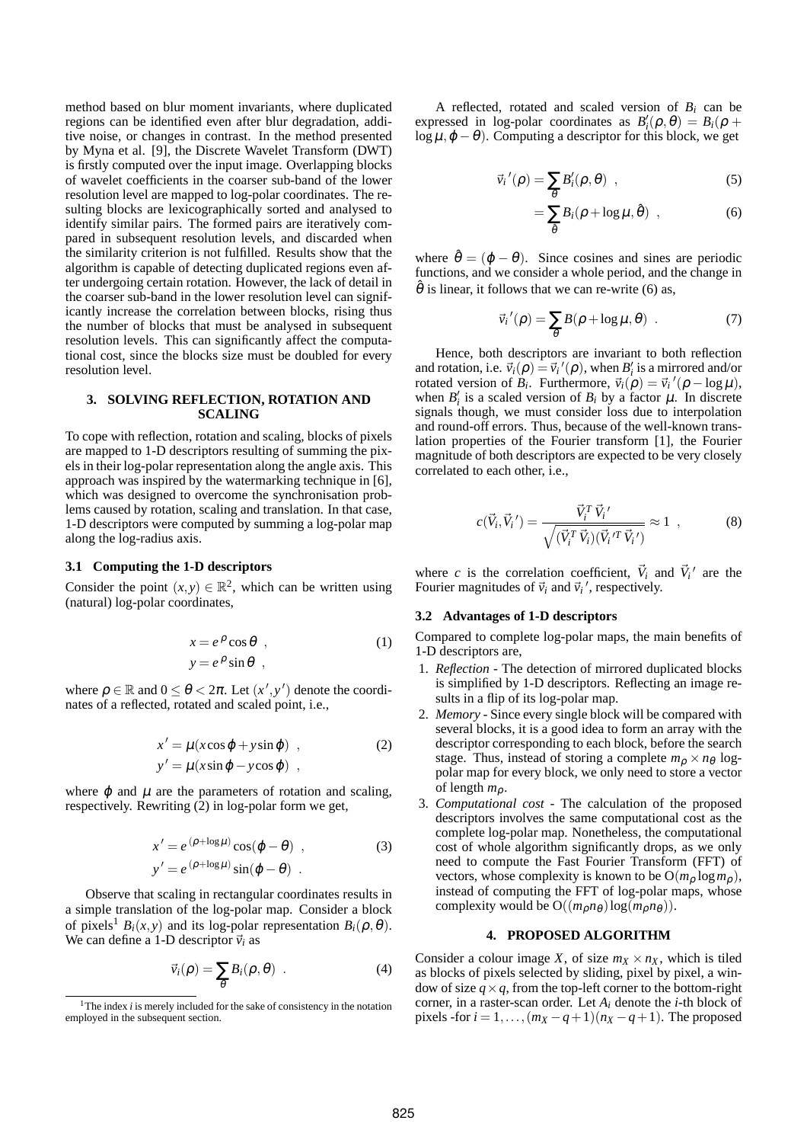method based on blur moment invariants, where duplicated regions can be identified even after blur degradation, additive noise, or changes in contrast. In the method presented by Myna et al. [9], the Discrete Wavelet Transform (DWT) is firstly computed over the input image. Overlapping blocks of wavelet coefficients in the coarser sub-band of the lower resolution level are mapped to log-polar coordinates. The resulting blocks are lexicographically sorted and analysed to identify similar pairs. The formed pairs are iteratively compared in subsequent resolution levels, and discarded when the similarity criterion is not fulfilled. Results show that the algorithm is capable of detecting duplicated regions even after undergoing certain rotation. However, the lack of detail in the coarser sub-band in the lower resolution level can significantly increase the correlation between blocks, rising thus the number of blocks that must be analysed in subsequent resolution levels. This can significantly affect the computational cost, since the blocks size must be doubled for every resolution level.

### **3. SOLVING REFLECTION, ROTATION AND SCALING**

To cope with reflection, rotation and scaling, blocks of pixels are mapped to 1-D descriptors resulting of summing the pixels in their log-polar representation along the angle axis. This approach was inspired by the watermarking technique in [6], which was designed to overcome the synchronisation problems caused by rotation, scaling and translation. In that case, 1-D descriptors were computed by summing a log-polar map along the log-radius axis.

#### **3.1 Computing the 1-D descriptors**

Consider the point  $(x, y) \in \mathbb{R}^2$ , which can be written using (natural) log-polar coordinates,

$$
x = e^{\rho} \cos \theta , \qquad (1)
$$
  

$$
y = e^{\rho} \sin \theta ,
$$

where  $\rho \in \mathbb{R}$  and  $0 \le \theta < 2\pi$ . Let  $(x', y')$  denote the coordinates of a reflected, rotated and scaled point, i.e.,

$$
x' = \mu(x\cos\varphi + y\sin\varphi) ,
$$
  
\n
$$
y' = \mu(x\sin\varphi - y\cos\varphi) ,
$$
 (2)

where  $\varphi$  and  $\mu$  are the parameters of rotation and scaling, respectively. Rewriting (2) in log-polar form we get,

$$
x' = e^{(\rho + \log \mu)} \cos(\varphi - \theta) ,
$$
  
\n
$$
y' = e^{(\rho + \log \mu)} \sin(\varphi - \theta) .
$$
\n(3)

Observe that scaling in rectangular coordinates results in a simple translation of the log-polar map. Consider a block of pixels<sup>1</sup>  $B_i(x, y)$  and its log-polar representation  $B_i(\rho, \theta)$ . We can define a 1-D descriptor  $\vec{v}_i$  as

$$
\vec{v}_i(\rho) = \sum_{\theta} B_i(\rho, \theta) \quad . \tag{4}
$$

A reflected, rotated and scaled version of  $B_i$  can be expressed in log-polar coordinates as  $B'_i(\rho, \theta) = B_i(\rho + \theta)$  $\log \mu, \varphi - \theta$ ). Computing a descriptor for this block, we get

$$
\vec{v}_i'(\rho) = \sum_{\theta} B'_i(\rho, \theta) , \qquad (5)
$$

$$
=\sum_{\hat{\theta}}B_i(\rho+\log\mu,\hat{\theta})\quad ,\qquad \qquad (6)
$$

where  $\hat{\theta} = (\varphi - \theta)$ . Since cosines and sines are periodic functions, and we consider a whole period, and the change in  $\hat{\theta}$  is linear, it follows that we can re-write (6) as,

$$
\vec{v}_i'(\rho) = \sum_{\theta} B(\rho + \log \mu, \theta) \quad . \tag{7}
$$

Hence, both descriptors are invariant to both reflection and rotation, i.e.  $\vec{v}_i(\rho) = \vec{v}_i'(\rho)$ , when  $B'_i$  is a mirrored and/or rotated version of  $B_i$ . Furthermore,  $\vec{v}_i(\rho) = \vec{v}_i'(\rho - \log \mu)$ , when  $B'_i$  is a scaled version of  $B_i$  by a factor  $\mu$ . In discrete signals though, we must consider loss due to interpolation and round-off errors. Thus, because of the well-known translation properties of the Fourier transform [1], the Fourier magnitude of both descriptors are expected to be very closely correlated to each other, i.e.,

$$
c(\vec{V}_i, \vec{V}_i') = \frac{\vec{V}_i^T \vec{V}_i'}{\sqrt{(\vec{V}_i^T \vec{V}_i)(\vec{V}_i^T \vec{V}_i')}} \approx 1 , \qquad (8)
$$

where *c* is the correlation coefficient,  $\vec{V}_i$  and  $\vec{V}_i'$  are the Fourier magnitudes of  $\vec{v}_i$  and  $\vec{v}_i'$ , respectively.

### **3.2 Advantages of 1-D descriptors**

Compared to complete log-polar maps, the main benefits of 1-D descriptors are,

- 1. *Reflection -* The detection of mirrored duplicated blocks is simplified by 1-D descriptors. Reflecting an image results in a flip of its log-polar map.
- 2. *Memory -* Since every single block will be compared with several blocks, it is a good idea to form an array with the descriptor corresponding to each block, before the search stage. Thus, instead of storing a complete  $m_\rho \times n_\theta$  logpolar map for every block, we only need to store a vector of length *m*ρ.
- 3. *Computational cost -* The calculation of the proposed descriptors involves the same computational cost as the complete log-polar map. Nonetheless, the computational cost of whole algorithm significantly drops, as we only need to compute the Fast Fourier Transform (FFT) of vectors, whose complexity is known to be  $O(m_0 \log m_0)$ , instead of computing the FFT of log-polar maps, whose complexity would be  $O((m_p n_{\theta}) \log(m_p n_{\theta}))$ .

#### **4. PROPOSED ALGORITHM**

Consider a colour image *X*, of size  $m_X \times n_X$ , which is tiled as blocks of pixels selected by sliding, pixel by pixel, a window of size  $q \times q$ , from the top-left corner to the bottom-right corner, in a raster-scan order. Let *A<sup>i</sup>* denote the *i*-th block of pixels -for  $i = 1, \ldots, (m_X - q + 1)(n_X - q + 1)$ . The proposed

<sup>&</sup>lt;sup>1</sup>The index *i* is merely included for the sake of consistency in the notation employed in the subsequent section.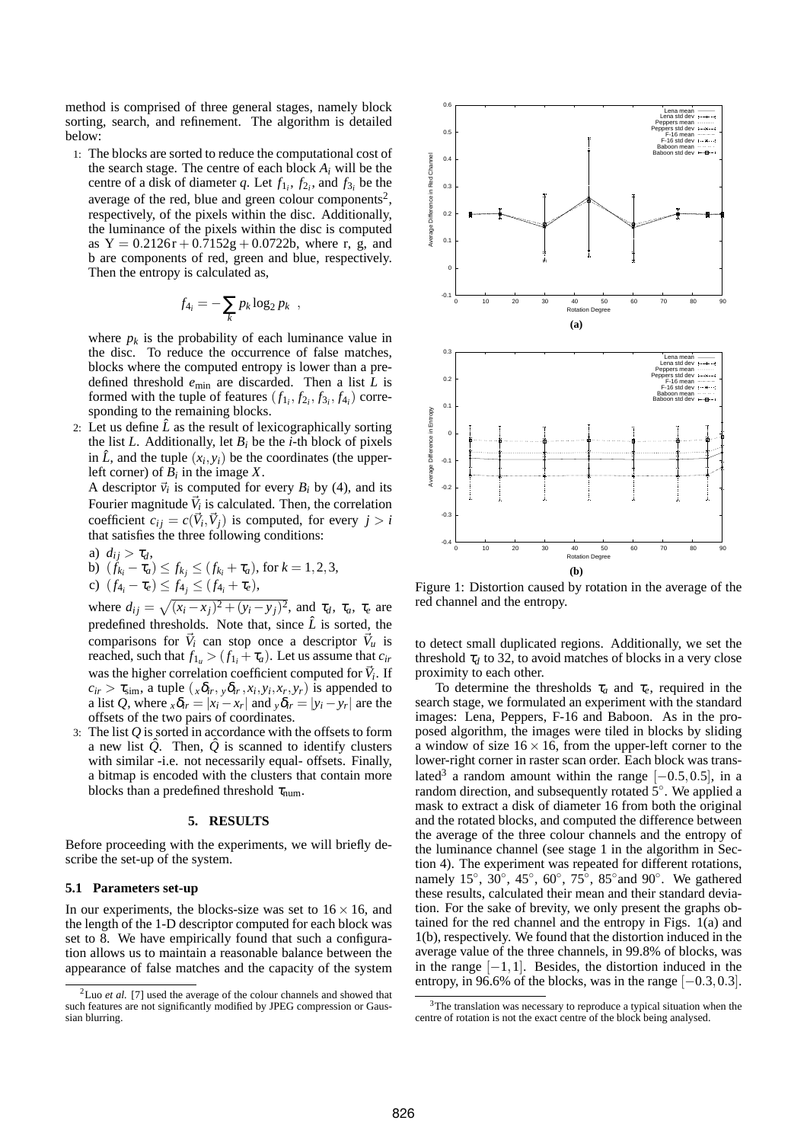method is comprised of three general stages, namely block sorting, search, and refinement. The algorithm is detailed below:

1: The blocks are sorted to reduce the computational cost of the search stage. The centre of each block  $A_i$  will be the centre of a disk of diameter *q*. Let  $f_{1i}$ ,  $f_{2i}$ , and  $f_{3i}$  be the average of the red, blue and green colour components<sup>2</sup>, respectively, of the pixels within the disc. Additionally, the luminance of the pixels within the disc is computed as  $Y = 0.2126r + 0.7152g + 0.0722b$ , where r, g, and b are components of red, green and blue, respectively. Then the entropy is calculated as,

$$
f_{4_i} = -\sum_k p_k \log_2 p_k ,
$$

where  $p_k$  is the probability of each luminance value in the disc. To reduce the occurrence of false matches, blocks where the computed entropy is lower than a predefined threshold  $e_{\text{min}}$  are discarded. Then a list  $\tilde{L}$  is formed with the tuple of features  $(f_{1_i}, f_{2_i}, f_{3_i}, f_{4_i})$  corresponding to the remaining blocks.

2: Let us define  $\hat{L}$  as the result of lexicographically sorting the list *L*. Additionally, let  $B_i$  be the *i*-th block of pixels in  $\hat{L}$ , and the tuple  $(x_i, y_i)$  be the coordinates (the upperleft corner) of  $B_i$  in the image  $X$ .

A descriptor  $\vec{v}_i$  is computed for every  $B_i$  by (4), and its Fourier magnitude  $\vec{V}_i$  is calculated. Then, the correlation coefficient  $c_{ij} = c(\vec{V}_i, \vec{V}_j)$  is computed, for every  $j > i$ that satisfies the three following conditions:

a) 
$$
d_{ij} > \tau_d
$$
,  
\nb)  $(f_{k_i} - \tau_a) \le f_{k_j} \le (f_{k_i} + \tau_a)$ , for  $k = 1, 2, 3$ ,  
\nc)  $(f_{4_i} - \tau_e) \le f_{4_j} \le (f_{4_i} + \tau_e)$ ,

where  $d_{ij} = \sqrt{(x_i - x_j)^2 + (y_i - y_j)^2}$ , and  $\tau_d$ ,  $\tau_a$ ,  $\tau_e$  are predefined thresholds. Note that, since  $\hat{L}$  is sorted, the comparisons for  $\vec{V}_i$  can stop once a descriptor  $\vec{V}_u$  is reached, such that  $f_{1u} > (f_{1i} + \tau_a)$ . Let us assume that  $c_{ir}$ was the higher correlation coefficient computed for  $\vec{V}_i$ . If  $c_{ir} > \tau_{sim}$ , a tuple  $(x\delta_{ir}, y\delta_{ir}, x_i, y_i, x_r, y_r)$  is appended to a list *Q*, where  $_x \delta_{ir} = |x_i - x_r|$  and  $_y \delta_{ir} = |y_i - y_r|$  are the offsets of the two pairs of coordinates.

3: The list *Q* is sorted in accordance with the offsets to form a new list  $\hat{Q}$ . Then,  $\hat{Q}$  is scanned to identify clusters with similar -i.e. not necessarily equal- offsets. Finally, a bitmap is encoded with the clusters that contain more blocks than a predefined threshold  $\tau_{num}$ .

#### **5. RESULTS**

Before proceeding with the experiments, we will briefly describe the set-up of the system.

### **5.1 Parameters set-up**

In our experiments, the blocks-size was set to  $16 \times 16$ , and the length of the 1-D descriptor computed for each block was set to 8. We have empirically found that such a configuration allows us to maintain a reasonable balance between the appearance of false matches and the capacity of the system



Figure 1: Distortion caused by rotation in the average of the red channel and the entropy.

to detect small duplicated regions. Additionally, we set the threshold  $\tau_d$  to 32, to avoid matches of blocks in a very close proximity to each other.

To determine the thresholds  $\tau_a$  and  $\tau_e$ , required in the search stage, we formulated an experiment with the standard images: Lena, Peppers, F-16 and Baboon. As in the proposed algorithm, the images were tiled in blocks by sliding a window of size  $16 \times 16$ , from the upper-left corner to the lower-right corner in raster scan order. Each block was translated<sup>3</sup> a random amount within the range  $[-0.5, 0.5]$ , in a random direction, and subsequently rotated  $\dot{5}^\circ$ . We applied a mask to extract a disk of diameter 16 from both the original and the rotated blocks, and computed the difference between the average of the three colour channels and the entropy of the luminance channel (see stage 1 in the algorithm in Section 4). The experiment was repeated for different rotations, namely 15°,  $30^\circ$ ,  $45^\circ$ ,  $60^\circ$ ,  $75^\circ$ ,  $85^\circ$  and  $90^\circ$ . We gathered these results, calculated their mean and their standard deviation. For the sake of brevity, we only present the graphs obtained for the red channel and the entropy in Figs. 1(a) and 1(b), respectively. We found that the distortion induced in the average value of the three channels, in 99.8% of blocks, was in the range  $[-1,1]$ . Besides, the distortion induced in the entropy, in 96.6% of the blocks, was in the range  $[-0.3, 0.3]$ .

<sup>&</sup>lt;sup>2</sup>Luo *et al.* [7] used the average of the colour channels and showed that such features are not significantly modified by JPEG compression or Gaussian blurring.

<sup>&</sup>lt;sup>3</sup>The translation was necessary to reproduce a typical situation when the centre of rotation is not the exact centre of the block being analysed.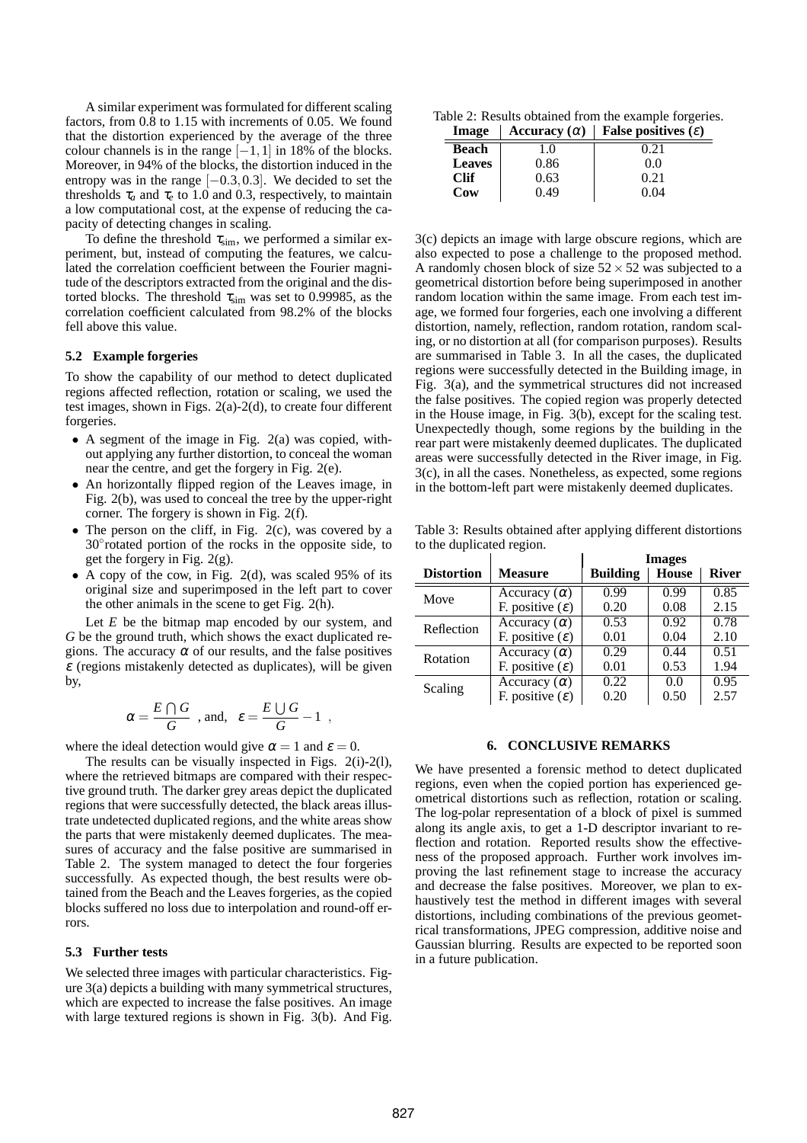A similar experiment was formulated for different scaling factors, from 0.8 to 1.15 with increments of 0.05. We found that the distortion experienced by the average of the three colour channels is in the range  $[-1,1]$  in 18% of the blocks. Moreover, in 94% of the blocks, the distortion induced in the entropy was in the range  $[-0.3, 0.3]$ . We decided to set the thresholds  $\tau_a$  and  $\tau_e$  to 1.0 and 0.3, respectively, to maintain a low computational cost, at the expense of reducing the capacity of detecting changes in scaling.

To define the threshold  $\tau_{sim}$ , we performed a similar experiment, but, instead of computing the features, we calculated the correlation coefficient between the Fourier magnitude of the descriptors extracted from the original and the distorted blocks. The threshold  $\tau_{sim}$  was set to 0.99985, as the correlation coefficient calculated from 98.2% of the blocks fell above this value.

#### **5.2 Example forgeries**

To show the capability of our method to detect duplicated regions affected reflection, rotation or scaling, we used the test images, shown in Figs. 2(a)-2(d), to create four different forgeries.

- A segment of the image in Fig. 2(a) was copied, without applying any further distortion, to conceal the woman near the centre, and get the forgery in Fig. 2(e).
- An horizontally flipped region of the Leaves image, in Fig. 2(b), was used to conceal the tree by the upper-right corner. The forgery is shown in Fig. 2(f).
- The person on the cliff, in Fig.  $2(c)$ , was covered by a 30◦ rotated portion of the rocks in the opposite side, to get the forgery in Fig. 2(g).
- A copy of the cow, in Fig. 2(d), was scaled 95% of its original size and superimposed in the left part to cover the other animals in the scene to get Fig. 2(h).

Let  $E$  be the bitmap map encoded by our system, and *G* be the ground truth, which shows the exact duplicated regions. The accuracy  $\alpha$  of our results, and the false positives  $\varepsilon$  (regions mistakenly detected as duplicates), will be given by,

$$
\alpha = \frac{E \cap G}{G}
$$
, and,  $\varepsilon = \frac{E \cup G}{G} - 1$ ,

where the ideal detection would give  $\alpha = 1$  and  $\varepsilon = 0$ .

The results can be visually inspected in Figs. 2(i)-2(l), where the retrieved bitmaps are compared with their respective ground truth. The darker grey areas depict the duplicated regions that were successfully detected, the black areas illustrate undetected duplicated regions, and the white areas show the parts that were mistakenly deemed duplicates. The measures of accuracy and the false positive are summarised in Table 2. The system managed to detect the four forgeries successfully. As expected though, the best results were obtained from the Beach and the Leaves forgeries, as the copied blocks suffered no loss due to interpolation and round-off errors.

### **5.3 Further tests**

We selected three images with particular characteristics. Figure 3(a) depicts a building with many symmetrical structures, which are expected to increase the false positives. An image with large textured regions is shown in Fig. 3(b). And Fig.

Table 2: Results obtained from the example forgeries. **Image**  $\vert$  **Accuracy** ( $\alpha$ )  $\vert$  **False positives** ( $\varepsilon$ )

| ппаgе         | Accuracy $(u)$ | raise positives $(\varepsilon)$ |
|---------------|----------------|---------------------------------|
| Beach         | 1.0            | 0.21                            |
| <b>Leaves</b> | 0.86           | 0.0                             |
| <b>Clif</b>   | 0.63           | 0.21                            |
| Cow           | 0.49           | 0.04                            |
|               |                |                                 |

3(c) depicts an image with large obscure regions, which are also expected to pose a challenge to the proposed method. A randomly chosen block of size  $52 \times 52$  was subjected to a geometrical distortion before being superimposed in another random location within the same image. From each test image, we formed four forgeries, each one involving a different distortion, namely, reflection, random rotation, random scaling, or no distortion at all (for comparison purposes). Results are summarised in Table 3. In all the cases, the duplicated regions were successfully detected in the Building image, in Fig. 3(a), and the symmetrical structures did not increased the false positives. The copied region was properly detected in the House image, in Fig. 3(b), except for the scaling test. Unexpectedly though, some regions by the building in the rear part were mistakenly deemed duplicates. The duplicated areas were successfully detected in the River image, in Fig. 3(c), in all the cases. Nonetheless, as expected, some regions in the bottom-left part were mistakenly deemed duplicates.

Table 3: Results obtained after applying different distortions to the duplicated region.

|                   |                             | <b>Images</b>   |              |              |
|-------------------|-----------------------------|-----------------|--------------|--------------|
| <b>Distortion</b> | <b>Measure</b>              | <b>Building</b> | <b>House</b> | <b>River</b> |
| Move              | Accuracy $(\alpha)$         | 0.99            | 0.99         | 0.85         |
|                   | F. positive $(\varepsilon)$ | 0.20            | 0.08         | 2.15         |
| Reflection        | Accuracy $(\alpha)$         | 0.53            | 0.92         | 0.78         |
|                   | F. positive $(\varepsilon)$ | 0.01            | 0.04         | 2.10         |
| Rotation          | Accuracy $(\alpha)$         | 0.29            | 0.44         | 0.51         |
|                   | F. positive $(\varepsilon)$ | 0.01            | 0.53         | 1.94         |
| Scaling           | Accuracy $(\alpha)$         | 0.22            | 0.0          | 0.95         |
|                   | F. positive $(\varepsilon)$ | 0.20            | 0.50         | 2.57         |

#### **6. CONCLUSIVE REMARKS**

We have presented a forensic method to detect duplicated regions, even when the copied portion has experienced geometrical distortions such as reflection, rotation or scaling. The log-polar representation of a block of pixel is summed along its angle axis, to get a 1-D descriptor invariant to reflection and rotation. Reported results show the effectiveness of the proposed approach. Further work involves improving the last refinement stage to increase the accuracy and decrease the false positives. Moreover, we plan to exhaustively test the method in different images with several distortions, including combinations of the previous geometrical transformations, JPEG compression, additive noise and Gaussian blurring. Results are expected to be reported soon in a future publication.